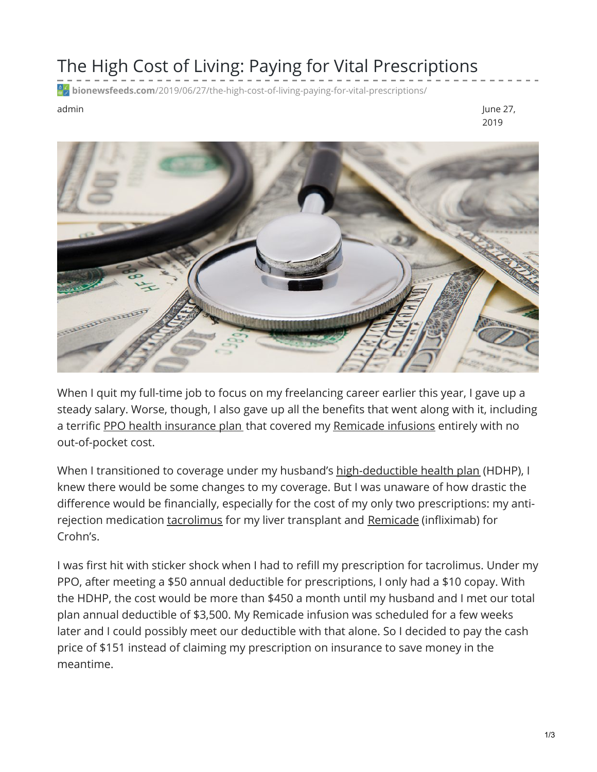## The High Cost of Living: Paying for Vital Prescriptions

**bionewsfeeds.com**[/2019/06/27/the-high-cost-of-living-paying-for-vital-prescriptions/](https://bionewsfeeds.com/2019/06/27/the-high-cost-of-living-paying-for-vital-prescriptions/)

admin June 27, 2019



When I quit my full-time job to focus on my freelancing career earlier this year, I gave up a steady salary. Worse, though, I also gave up all the benefits that went along with it, including a terrific PPO health [insurance](https://www.healthcare.gov/glossary/preferred-provider-organization-ppo/) plan that covered my [Remicade](https://www.remicade.com/crohns-disease) infusions entirely with no out-of-pocket cost.

When I transitioned to coverage under my husband's [high-deductible](https://www.healthcare.gov/glossary/high-deductible-health-plan/) health plan (HDHP), I knew there would be some changes to my coverage. But I was unaware of how drastic the difference would be financially, especially for the cost of my only two prescriptions: my antirejection medication [tacrolimus](https://medlineplus.gov/druginfo/meds/a601117.html) for my liver transplant and [Remicade](https://www.remicade.com/) (infliximab) for Crohn's.

I was first hit with sticker shock when I had to refill my prescription for tacrolimus. Under my PPO, after meeting a \$50 annual deductible for prescriptions, I only had a \$10 copay. With the HDHP, the cost would be more than \$450 a month until my husband and I met our total plan annual deductible of \$3,500. My Remicade infusion was scheduled for a few weeks later and I could possibly meet our deductible with that alone. So I decided to pay the cash price of \$151 instead of claiming my prescription on insurance to save money in the meantime.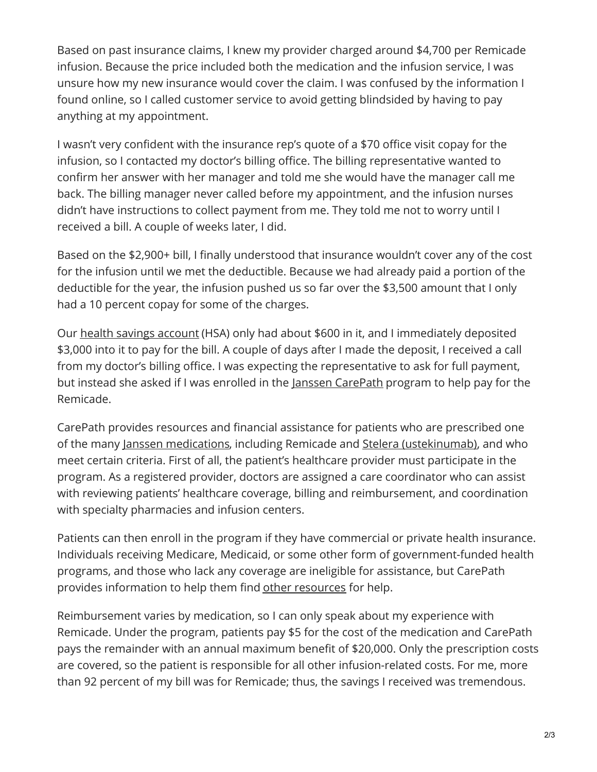Based on past insurance claims, I knew my provider charged around \$4,700 per Remicade infusion. Because the price included both the medication and the infusion service, I was unsure how my new insurance would cover the claim. I was confused by the information I found online, so I called customer service to avoid getting blindsided by having to pay anything at my appointment.

I wasn't very confident with the insurance rep's quote of a \$70 office visit copay for the infusion, so I contacted my doctor's billing office. The billing representative wanted to confirm her answer with her manager and told me she would have the manager call me back. The billing manager never called before my appointment, and the infusion nurses didn't have instructions to collect payment from me. They told me not to worry until I received a bill. A couple of weeks later, I did.

Based on the \$2,900+ bill, I finally understood that insurance wouldn't cover any of the cost for the infusion until we met the deductible. Because we had already paid a portion of the deductible for the year, the infusion pushed us so far over the \$3,500 amount that I only had a 10 percent copay for some of the charges.

Our health savings [account](https://www.healthcare.gov/glossary/health-savings-account-hsa/) (HSA) only had about \$600 in it, and I immediately deposited \$3,000 into it to pay for the bill. A couple of days after I made the deposit, I received a call from my doctor's billing office. I was expecting the representative to ask for full payment, but instead she asked if I was enrolled in the Janssen [CarePath](https://www.janssencarepath.com/referee) program to help pay for the Remicade.

CarePath provides resources and financial assistance for patients who are prescribed one of the many Janssen [medications](https://www.janssencarepath.com/patient/important-safety-information), including Remicade and Stelera [\(ustekinumab\)](https://www.stelarainfo.com/), and who meet certain criteria. First of all, the patient's healthcare provider must participate in the program. As a registered provider, doctors are assigned a care coordinator who can assist with reviewing patients' healthcare coverage, billing and reimbursement, and coordination with specialty pharmacies and infusion centers.

Patients can then enroll in the program if they have commercial or private health insurance. Individuals receiving Medicare, Medicaid, or some other form of government-funded health programs, and those who lack any coverage are ineligible for assistance, but CarePath provides information to help them find other [resources](http://janssenprescriptionassistance.com/) for help.

Reimbursement varies by medication, so I can only speak about my experience with Remicade. Under the program, patients pay \$5 for the cost of the medication and CarePath pays the remainder with an annual maximum benefit of \$20,000. Only the prescription costs are covered, so the patient is responsible for all other infusion-related costs. For me, more than 92 percent of my bill was for Remicade; thus, the savings I received was tremendous.